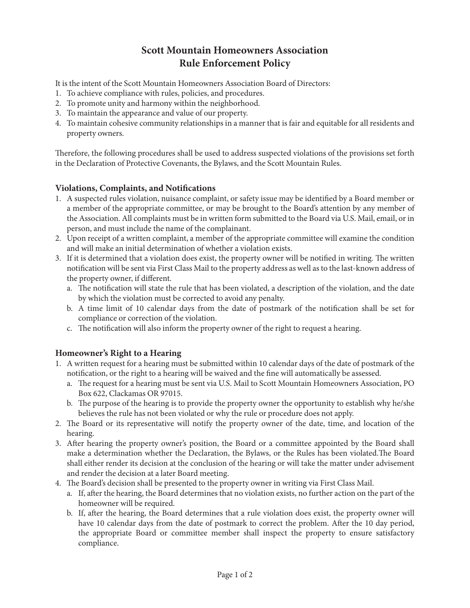## **Scott Mountain Homeowners Association Rule Enforcement Policy**

It is the intent of the Scott Mountain Homeowners Association Board of Directors:

- 1. To achieve compliance with rules, policies, and procedures.
- 2. To promote unity and harmony within the neighborhood.
- 3. To maintain the appearance and value of our property.
- 4. To maintain cohesive community relationships in a manner that is fair and equitable for all residents and property owners.

Therefore, the following procedures shall be used to address suspected violations of the provisions set forth in the Declaration of Protective Covenants, the Bylaws, and the Scott Mountain Rules.

## **Violations, Complaints, and Notifications**

- 1. A suspected rules violation, nuisance complaint, or safety issue may be identified by a Board member or a member of the appropriate committee, or may be brought to the Board's attention by any member of the Association. All complaints must be in written form submitted to the Board via U.S. Mail, email, or in person, and must include the name of the complainant.
- 2. Upon receipt of a written complaint, a member of the appropriate committee will examine the condition and will make an initial determination of whether a violation exists.
- 3. If it is determined that a violation does exist, the property owner will be notified in writing. The written notification will be sent via First Class Mail to the property address as well as to the last-known address of the property owner, if different.
	- a. The notification will state the rule that has been violated, a description of the violation, and the date by which the violation must be corrected to avoid any penalty.
	- b. A time limit of 10 calendar days from the date of postmark of the notification shall be set for compliance or correction of the violation.
	- c. The notification will also inform the property owner of the right to request a hearing.

## **Homeowner's Right to a Hearing**

- 1. A written request for a hearing must be submitted within 10 calendar days of the date of postmark of the notification, or the right to a hearing will be waived and the fine will automatically be assessed.
	- a. The request for a hearing must be sent via U.S. Mail to Scott Mountain Homeowners Association, PO Box 622, Clackamas OR 97015.
	- b. The purpose of the hearing is to provide the property owner the opportunity to establish why he/she believes the rule has not been violated or why the rule or procedure does not apply.
- 2. The Board or its representative will notify the property owner of the date, time, and location of the hearing.
- 3. After hearing the property owner's position, the Board or a committee appointed by the Board shall make a determination whether the Declaration, the Bylaws, or the Rules has been violated.The Board shall either render its decision at the conclusion of the hearing or will take the matter under advisement and render the decision at a later Board meeting.
- 4. The Board's decision shall be presented to the property owner in writing via First Class Mail.
	- a. If, after the hearing, the Board determines that no violation exists, no further action on the part of the homeowner will be required.
	- b. If, after the hearing, the Board determines that a rule violation does exist, the property owner will have 10 calendar days from the date of postmark to correct the problem. After the 10 day period, the appropriate Board or committee member shall inspect the property to ensure satisfactory compliance.